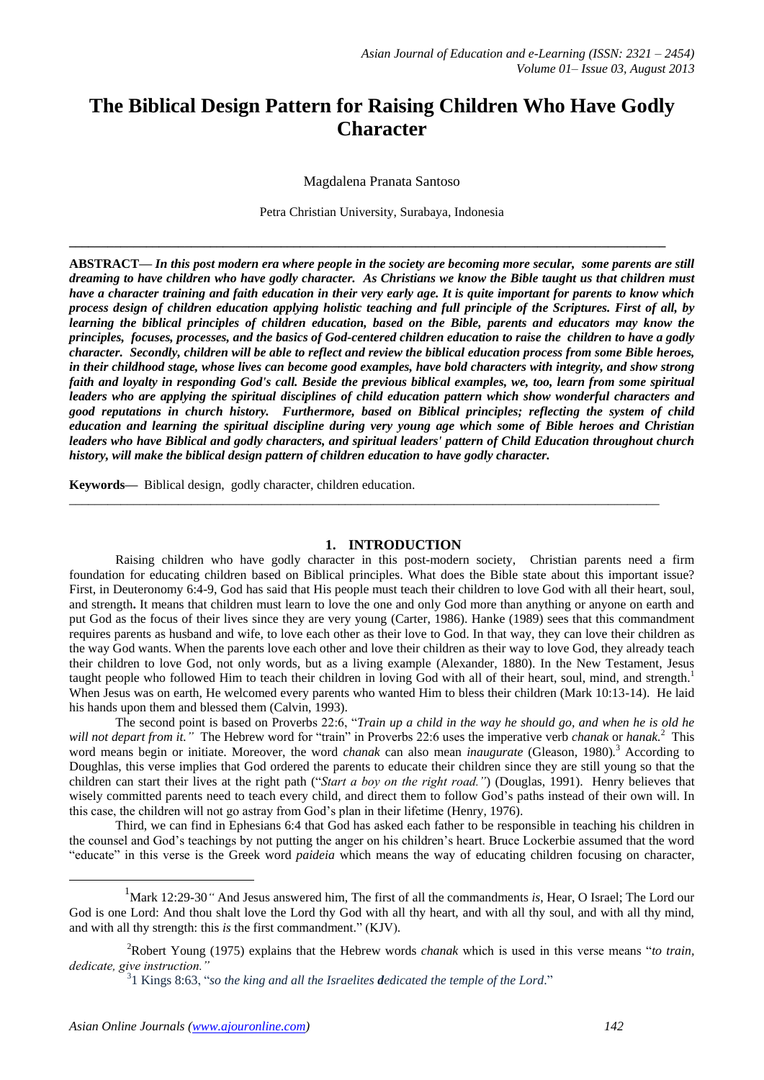# **The Biblical Design Pattern for Raising Children Who Have Godly Character**

Magdalena Pranata Santoso

Petra Christian University, Surabaya, Indonesia

**\_\_\_\_\_\_\_\_\_\_\_\_\_\_\_\_\_\_\_\_\_\_\_\_\_\_\_\_\_\_\_\_\_\_\_\_\_\_\_\_\_\_\_\_\_\_\_\_\_\_\_\_\_\_\_\_\_\_\_\_\_\_\_\_\_\_\_\_\_\_\_\_\_\_\_\_\_\_\_\_\_\_\_\_\_\_\_\_\_\_\_\_\_**

**ABSTRACT—** *In this post modern era where people in the society are becoming more secular, some parents are still dreaming to have children who have godly character. As Christians we know the Bible taught us that children must have a character training and faith education in their very early age. It is quite important for parents to know which process design of children education applying holistic teaching and full principle of the Scriptures. First of all, by learning the biblical principles of children education, based on the Bible, parents and educators may know the principles, focuses, processes, and the basics of God-centered children education to raise the children to have a godly character. Secondly, children will be able to reflect and review the biblical education process from some Bible heroes, in their childhood stage, whose lives can become good examples, have bold characters with integrity, and show strong faith and loyalty in responding God's call. Beside the previous biblical examples, we, too, learn from some spiritual leaders who are applying the spiritual disciplines of child education pattern which show wonderful characters and good reputations in church history. Furthermore, based on Biblical principles; reflecting the system of child education and learning the spiritual discipline during very young age which some of Bible heroes and Christian leaders who have Biblical and godly characters, and spiritual leaders' pattern of Child Education throughout church history, will make the biblical design pattern of children education to have godly character.* 

**Keywords—** Biblical design, godly character, children education.

#### **1. INTRODUCTION**

 $\_$  ,  $\_$  ,  $\_$  ,  $\_$  ,  $\_$  ,  $\_$  ,  $\_$  ,  $\_$  ,  $\_$  ,  $\_$  ,  $\_$  ,  $\_$  ,  $\_$  ,  $\_$  ,  $\_$  ,  $\_$  ,  $\_$  ,  $\_$  ,  $\_$  ,  $\_$  ,  $\_$  ,  $\_$  ,  $\_$  ,  $\_$  ,  $\_$  ,  $\_$  ,  $\_$  ,  $\_$  ,  $\_$  ,  $\_$  ,  $\_$  ,  $\_$  ,  $\_$  ,  $\_$  ,  $\_$  ,  $\_$  ,  $\_$  ,

Raising children who have godly character in this post-modern society, Christian parents need a firm foundation for educating children based on Biblical principles. What does the Bible state about this important issue? First, in Deuteronomy 6:4-9, God has said that His people must teach their children to love God with all their heart, soul, and strength**.** It means that children must learn to love the one and only God more than anything or anyone on earth and put God as the focus of their lives since they are very young (Carter, 1986). Hanke (1989) sees that this commandment requires parents as husband and wife, to love each other as their love to God. In that way, they can love their children as the way God wants. When the parents love each other and love their children as their way to love God, they already teach their children to love God, not only words, but as a living example (Alexander, 1880). In the New Testament, Jesus taught people who followed Him to teach their children in loving God with all of their heart, soul, mind, and strength.<sup>1</sup> When Jesus was on earth, He welcomed every parents who wanted Him to bless their children (Mark 10:13-14). He laid his hands upon them and blessed them (Calvin, 1993).

The second point is based on Proverbs 22:6, "*Train up a child in the way he should go, and when he is old he will not depart from it."* The Hebrew word for "train" in Proverbs 22:6 uses the imperative verb *chanak* or *hanak.*<sup>2</sup> This word means begin or initiate. Moreover, the word *chanak* can also mean *inaugurate* (Gleason, 1980)*.* <sup>3</sup> According to Doughlas, this verse implies that God ordered the parents to educate their children since they are still young so that the children can start their lives at the right path ("*Start a boy on the right road."*) (Douglas, 1991). Henry believes that wisely committed parents need to teach every child, and direct them to follow God's paths instead of their own will. In this case, the children will not go astray from God"s plan in their lifetime (Henry, 1976).

Third, we can find in Ephesians 6:4 that God has asked each father to be responsible in teaching his children in the counsel and God"s teachings by not putting the anger on his children"s heart. Bruce Lockerbie assumed that the word "educate" in this verse is the Greek word *paideia* which means the way of educating children focusing on character,

1

<sup>&</sup>lt;sup>1</sup>Mark 12:29-30<sup>*"*</sup> [And Jesus answered him, The first of all the commandments](http://www.kingjamesbibleonline.org/Mark-12-29/) *is*, Hear, O Israel; The Lord our [God is one Lord:](http://www.kingjamesbibleonline.org/Mark-12-29/) [And thou shalt love the Lord thy God with all thy heart, and with all thy soul, and with all thy mind,](http://www.kingjamesbibleonline.org/Mark-12-30/)  [and with all thy strength: this](http://www.kingjamesbibleonline.org/Mark-12-30/) *is* the first commandment." (KJV).

<sup>2</sup>Robert Young (1975) explains that the Hebrew words *chanak* which is used in this verse means "*to train, dedicate, give instruction."* 

<sup>3</sup> 1 Kings 8:63, "*so the king and all the Israelites dedicated the temple of the Lord*."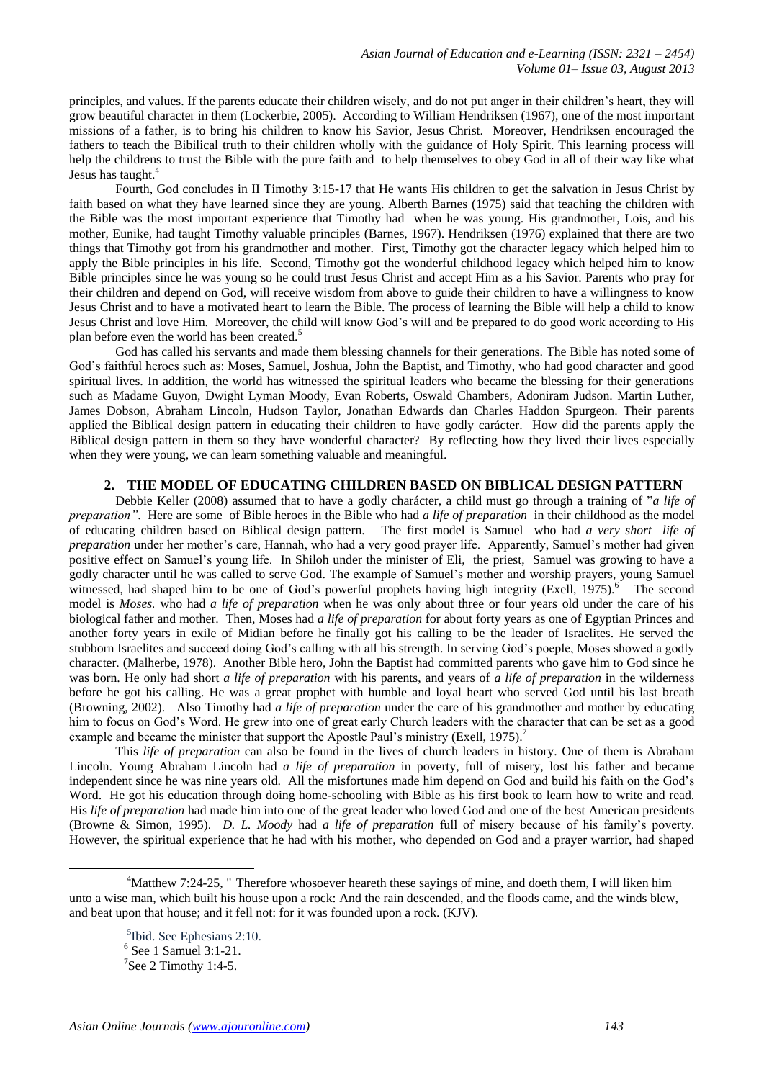principles, and values. If the parents educate their children wisely, and do not put anger in their children"s heart, they will grow beautiful character in them (Lockerbie, 2005). According to William Hendriksen (1967), one of the most important missions of a father, is to bring his children to know his Savior, Jesus Christ. Moreover, Hendriksen encouraged the fathers to teach the Bibilical truth to their children wholly with the guidance of Holy Spirit. This learning process will help the childrens to trust the Bible with the pure faith and to help themselves to obey God in all of their way like what Jesus has taught.<sup>4</sup>

Fourth, God concludes in II Timothy 3:15-17 that He wants His children to get the salvation in Jesus Christ by faith based on what they have learned since they are young. Alberth Barnes (1975) said that teaching the children with the Bible was the most important experience that Timothy had when he was young. His grandmother, Lois, and his mother, Eunike, had taught Timothy valuable principles (Barnes, 1967). Hendriksen (1976) explained that there are two things that Timothy got from his grandmother and mother. First, Timothy got the character legacy which helped him to apply the Bible principles in his life. Second, Timothy got the wonderful childhood legacy which helped him to know Bible principles since he was young so he could trust Jesus Christ and accept Him as a his Savior. Parents who pray for their children and depend on God, will receive wisdom from above to guide their children to have a willingness to know Jesus Christ and to have a motivated heart to learn the Bible. The process of learning the Bible will help a child to know Jesus Christ and love Him. Moreover, the child will know God"s will and be prepared to do good work according to His plan before even the world has been created.<sup>5</sup>

God has called his servants and made them blessing channels for their generations. The Bible has noted some of God"s faithful heroes such as: Moses, Samuel, Joshua, John the Baptist, and Timothy, who had good character and good spiritual lives. In addition, the world has witnessed the spiritual leaders who became the blessing for their generations such as Madame Guyon, Dwight Lyman Moody, Evan Roberts, Oswald Chambers, Adoniram Judson. Martin Luther, James Dobson, Abraham Lincoln, Hudson Taylor, Jonathan Edwards dan Charles Haddon Spurgeon. Their parents applied the Biblical design pattern in educating their children to have godly carácter. How did the parents apply the Biblical design pattern in them so they have wonderful character? By reflecting how they lived their lives especially when they were young, we can learn something valuable and meaningful.

#### **2. THE MODEL OF EDUCATING CHILDREN BASED ON BIBLICAL DESIGN PATTERN**

Debbie Keller (2008) assumed that to have a godly charácter, a child must go through a training of "*a life of preparation"*. Here are some of Bible heroes in the Bible who had *a life of preparation* in their childhood as the model of educating children based on Biblical design pattern. The first model is Samuel who had *a very short life of preparation* under her mother's care, Hannah, who had a very good prayer life. Apparently, Samuel's mother had given positive effect on Samuel"s young life. In Shiloh under the minister of Eli, the priest, Samuel was growing to have a godly character until he was called to serve God. The example of Samuel"s mother and worship prayers, young Samuel witnessed, had shaped him to be one of God's powerful prophets having high integrity (Exell, 1975).<sup>6</sup> The second model is *Moses.* who had *a life of preparation* when he was only about three or four years old under the care of his biological father and mother. Then, Moses had *a life of preparation* for about forty years as one of Egyptian Princes and another forty years in exile of Midian before he finally got his calling to be the leader of Israelites. He served the stubborn Israelites and succeed doing God"s calling with all his strength. In serving God"s poeple, Moses showed a godly character. (Malherbe, 1978). Another Bible hero, John the Baptist had committed parents who gave him to God since he was born. He only had short *a life of preparation* with his parents, and years of *a life of preparation* in the wilderness before he got his calling. He was a great prophet with humble and loyal heart who served God until his last breath (Browning, 2002). Also Timothy had *a life of preparation* under the care of his grandmother and mother by educating him to focus on God's Word. He grew into one of great early Church leaders with the character that can be set as a good example and became the minister that support the Apostle Paul's ministry (Exell, 1975).<sup>7</sup>

This *life of preparation* can also be found in the lives of church leaders in history. One of them is Abraham Lincoln. Young Abraham Lincoln had *a life of preparation* in poverty, full of misery, lost his father and became independent since he was nine years old. All the misfortunes made him depend on God and build his faith on the God"s Word. He got his education through doing home-schooling with Bible as his first book to learn how to write and read. His *life of preparation* had made him into one of the great leader who loved God and one of the best American presidents (Browne & Simon, 1995). *D. L. Moody* had *a life of preparation* full of misery because of his family"s poverty. However, the spiritual experience that he had with his mother, who depended on God and a prayer warrior, had shaped

<u>.</u>

<sup>&</sup>lt;sup>4</sup>Matthew 7:24-25, " Therefore whosoever heareth these sayings of mine, and doeth them, I will liken him [unto a wise man, which built his house upon a rock:](http://www.kingjamesbibleonline.org/Matthew-7-24/) [And the rain descended, and the floods came, and the winds blew,](http://www.kingjamesbibleonline.org/Matthew-7-25/)  [and beat upon that house; and it fell not: for it was founded upon a rock.](http://www.kingjamesbibleonline.org/Matthew-7-25/) (KJV).

<sup>5</sup> Ibid. See Ephesians 2:10. 6 See 1 Samuel 3:1-21.  $7$ See 2 Timothy 1:4-5.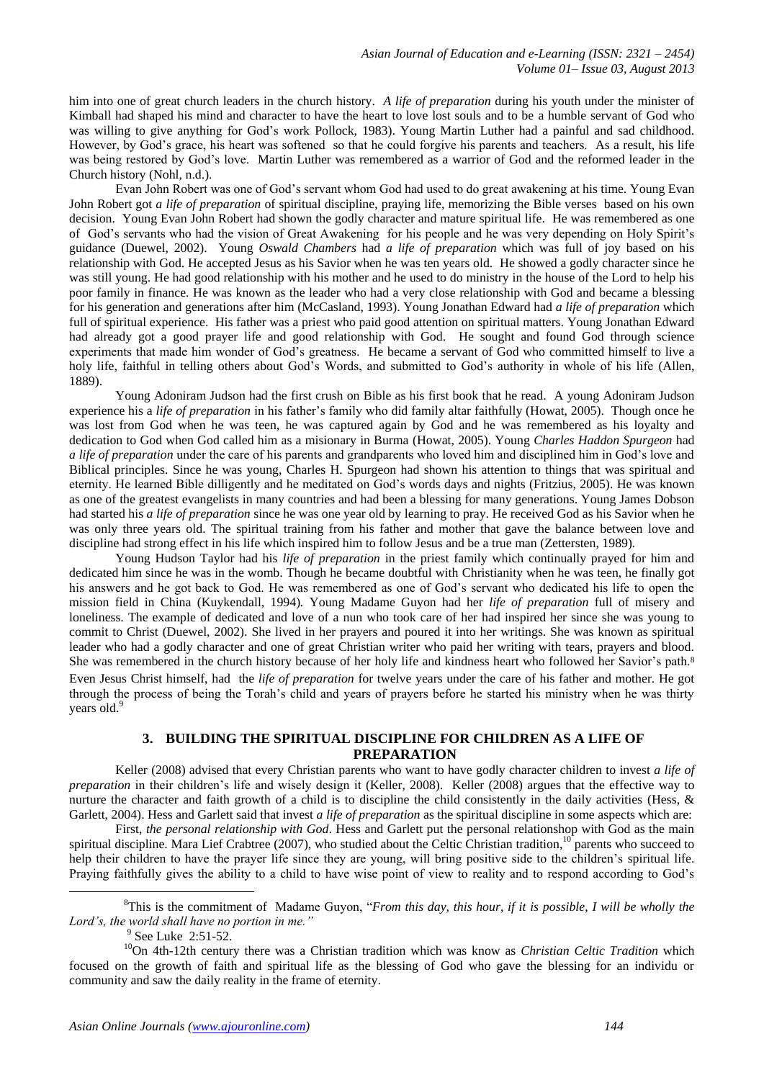him into one of great church leaders in the church history. *A life of preparation* during his youth under the minister of Kimball had shaped his mind and character to have the heart to love lost souls and to be a humble servant of God who was willing to give anything for God"s work Pollock, 1983). Young Martin Luther had a painful and sad childhood. However, by God"s grace, his heart was softened so that he could forgive his parents and teachers. As a result, his life was being restored by God"s love. Martin Luther was remembered as a warrior of God and the reformed leader in the Church history (Nohl, n.d.).

Evan John Robert was one of God"s servant whom God had used to do great awakening at his time. Young Evan John Robert got *a life of preparation* of spiritual discipline, praying life, memorizing the Bible verses based on his own decision. Young Evan John Robert had shown the godly character and mature spiritual life. He was remembered as one of God"s servants who had the vision of Great Awakening for his people and he was very depending on Holy Spirit"s guidance (Duewel, 2002). Young *Oswald Chambers* had *a life of preparation* which was full of joy based on his relationship with God. He accepted Jesus as his Savior when he was ten years old. He showed a godly character since he was still young. He had good relationship with his mother and he used to do ministry in the house of the Lord to help his poor family in finance. He was known as the leader who had a very close relationship with God and became a blessing for his generation and generations after him (McCasland, 1993). Young Jonathan Edward had *a life of preparation* which full of spiritual experience. His father was a priest who paid good attention on spiritual matters. Young Jonathan Edward had already got a good prayer life and good relationship with God. He sought and found God through science experiments that made him wonder of God"s greatness. He became a servant of God who committed himself to live a holy life, faithful in telling others about God's Words, and submitted to God's authority in whole of his life (Allen, 1889).

Young Adoniram Judson had the first crush on Bible as his first book that he read. A young Adoniram Judson experience his a *life of preparation* in his father"s family who did family altar faithfully (Howat, 2005). Though once he was lost from God when he was teen, he was captured again by God and he was remembered as his loyalty and dedication to God when God called him as a misionary in Burma (Howat, 2005). Young *Charles Haddon Spurgeon* had *a life of preparation* under the care of his parents and grandparents who loved him and disciplined him in God's love and Biblical principles. Since he was young, Charles H. Spurgeon had shown his attention to things that was spiritual and eternity. He learned Bible dilligently and he meditated on God"s words days and nights (Fritzius, 2005). He was known as one of the greatest evangelists in many countries and had been a blessing for many generations. Young James Dobson had started his *a life of preparation* since he was one year old by learning to pray. He received God as his Savior when he was only three years old. The spiritual training from his father and mother that gave the balance between love and discipline had strong effect in his life which inspired him to follow Jesus and be a true man (Zettersten, 1989)*.*

Young Hudson Taylor had his *life of preparation* in the priest family which continually prayed for him and dedicated him since he was in the womb. Though he became doubtful with Christianity when he was teen, he finally got his answers and he got back to God. He was remembered as one of God"s servant who dedicated his life to open the mission field in China (Kuykendall, 1994)*.* Young Madame Guyon had her *life of preparation* full of misery and loneliness. The example of dedicated and love of a nun who took care of her had inspired her since she was young to commit to Christ (Duewel, 2002). She lived in her prayers and poured it into her writings. She was known as spiritual leader who had a godly character and one of great Christian writer who paid her writing with tears, prayers and blood. She was remembered in the church history because of her holy life and kindness heart who followed her Savior's path.<sup>8</sup> Even Jesus Christ himself, had the *life of preparation* for twelve years under the care of his father and mother. He got through the process of being the Torah"s child and years of prayers before he started his ministry when he was thirty years old.<sup>9</sup>

## **3. BUILDING THE SPIRITUAL DISCIPLINE FOR CHILDREN AS A LIFE OF PREPARATION**

Keller (2008) advised that every Christian parents who want to have godly character children to invest *a life of preparation* in their children"s life and wisely design it (Keller, 2008). Keller (2008) argues that the effective way to nurture the character and faith growth of a child is to discipline the child consistently in the daily activities (Hess,  $\&$ Garlett, 2004). Hess and Garlett said that invest *a life of preparation* as the spiritual discipline in some aspects which are:

First, *the personal relationship with God*. Hess and Garlett put the personal relationshop with God as the main spiritual discipline. Mara Lief Crabtree (2007), who studied about the Celtic Christian tradition,<sup>10</sup> parents who succeed to help their children to have the prayer life since they are young, will bring positive side to the children's spiritual life. Praying faithfully gives the ability to a child to have wise point of view to reality and to respond according to God's

<sup>8</sup>This is the commitment of Madame Guyon, "*From this day, this hour, if it is possible, I will be wholly the Lord's, the world shall have no portion in me."*

1

<sup>10</sup>On 4th-12th century there was a Christian tradition which was know as *Christian Celtic Tradition* which focused on the growth of faith and spiritual life as the blessing of God who gave the blessing for an individu or community and saw the daily reality in the frame of eternity.

<sup>&</sup>lt;sup>9</sup> See Luke 2:51-52.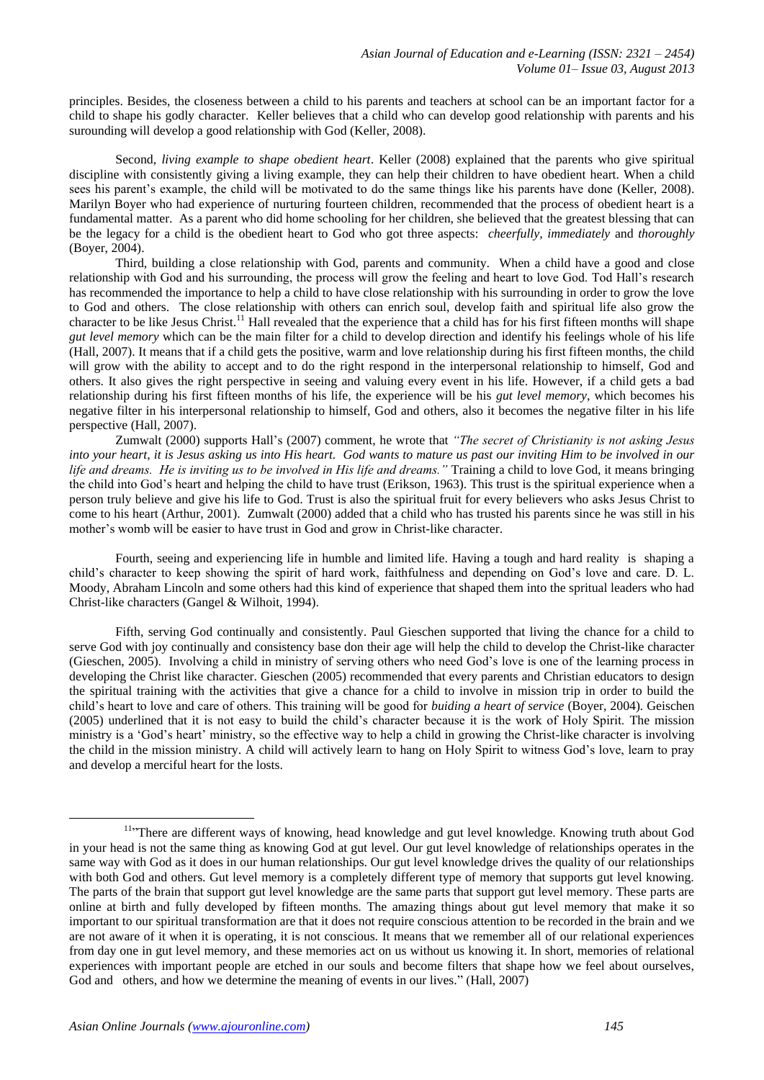principles. Besides, the closeness between a child to his parents and teachers at school can be an important factor for a child to shape his godly character. Keller believes that a child who can develop good relationship with parents and his surounding will develop a good relationship with God (Keller, 2008).

Second, *living example to shape obedient heart*. Keller (2008) explained that the parents who give spiritual discipline with consistently giving a living example, they can help their children to have obedient heart. When a child sees his parent's example, the child will be motivated to do the same things like his parents have done (Keller, 2008). Marilyn Boyer who had experience of nurturing fourteen children, recommended that the process of obedient heart is a fundamental matter. As a parent who did home schooling for her children, she believed that the greatest blessing that can be the legacy for a child is the obedient heart to God who got three aspects: *cheerfully, immediately* and *thoroughly* (Boyer, 2004).

Third, building a close relationship with God, parents and community. When a child have a good and close relationship with God and his surrounding, the process will grow the feeling and heart to love God. Tod Hall"s research has recommended the importance to help a child to have close relationship with his surrounding in order to grow the love to God and others. The close relationship with others can enrich soul, develop faith and spiritual life also grow the character to be like Jesus Christ.<sup>11</sup> Hall revealed that the experience that a child has for his first fifteen months will shape *gut level memory* which can be the main filter for a child to develop direction and identify his feelings whole of his life (Hall, 2007). It means that if a child gets the positive, warm and love relationship during his first fifteen months, the child will grow with the ability to accept and to do the right respond in the interpersonal relationship to himself, God and others. It also gives the right perspective in seeing and valuing every event in his life. However, if a child gets a bad relationship during his first fifteen months of his life, the experience will be his *gut level memory*, which becomes his negative filter in his interpersonal relationship to himself, God and others, also it becomes the negative filter in his life perspective (Hall, 2007).

Zumwalt (2000) supports Hall"s (2007) comment, he wrote that *"The secret of Christianity is not asking Jesus into your heart, it is Jesus asking us into His heart. God wants to mature us past our inviting Him to be involved in our life and dreams. He is inviting us to be involved in His life and dreams."* Training a child to love God, it means bringing the child into God"s heart and helping the child to have trust (Erikson, 1963). This trust is the spiritual experience when a person truly believe and give his life to God. Trust is also the spiritual fruit for every believers who asks Jesus Christ to come to his heart (Arthur, 2001). Zumwalt (2000) added that a child who has trusted his parents since he was still in his mother"s womb will be easier to have trust in God and grow in Christ-like character.

Fourth, seeing and experiencing life in humble and limited life. Having a tough and hard reality is shaping a child"s character to keep showing the spirit of hard work, faithfulness and depending on God"s love and care. D. L. Moody, Abraham Lincoln and some others had this kind of experience that shaped them into the spritual leaders who had Christ-like characters (Gangel & Wilhoit, 1994).

Fifth, serving God continually and consistently. Paul Gieschen supported that living the chance for a child to serve God with joy continually and consistency base don their age will help the child to develop the Christ-like character (Gieschen, 2005). Involving a child in ministry of serving others who need God"s love is one of the learning process in developing the Christ like character. Gieschen (2005) recommended that every parents and Christian educators to design the spiritual training with the activities that give a chance for a child to involve in mission trip in order to build the child"s heart to love and care of others. This training will be good for *buiding a heart of service* (Boyer, 2004)*.* Geischen (2005) underlined that it is not easy to build the child"s character because it is the work of Holy Spirit. The mission ministry is a "God"s heart" ministry, so the effective way to help a child in growing the Christ-like character is involving the child in the mission ministry. A child will actively learn to hang on Holy Spirit to witness God"s love, learn to pray and develop a merciful heart for the losts.

1

<sup>&</sup>lt;sup>11</sup>"There are different ways of knowing, head knowledge and gut level knowledge. Knowing truth about God in your head is not the same thing as knowing God at gut level. Our gut level knowledge of relationships operates in the same way with God as it does in our human relationships. Our gut level knowledge drives the quality of our relationships with both God and others. Gut level memory is a completely different type of memory that supports gut level knowing. The parts of the brain that support gut level knowledge are the same parts that support gut level memory. These parts are online at birth and fully developed by fifteen months. The amazing things about gut level memory that make it so important to our spiritual transformation are that it does not require conscious attention to be recorded in the brain and we are not aware of it when it is operating, it is not conscious. It means that we remember all of our relational experiences from day one in gut level memory, and these memories act on us without us knowing it. In short, memories of relational experiences with important people are etched in our souls and become filters that shape how we feel about ourselves, God and others, and how we determine the meaning of events in our lives." (Hall, 2007)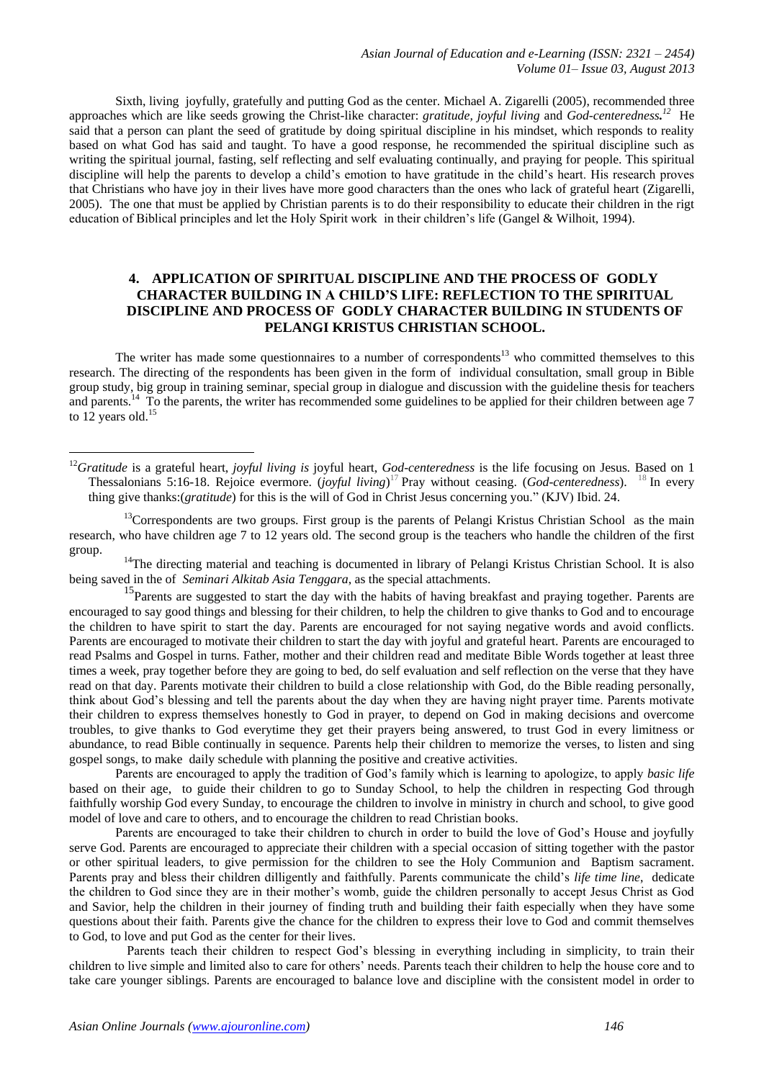Sixth, living joyfully, gratefully and putting God as the center. Michael A. Zigarelli (2005), recommended three approaches which are like seeds growing the Christ-like character: *gratitude, joyful living* and *God-centeredness. <sup>12</sup>* He said that a person can plant the seed of gratitude by doing spiritual discipline in his mindset, which responds to reality based on what God has said and taught. To have a good response, he recommended the spiritual discipline such as writing the spiritual journal, fasting, self reflecting and self evaluating continually, and praying for people. This spiritual discipline will help the parents to develop a child"s emotion to have gratitude in the child"s heart. His research proves that Christians who have joy in their lives have more good characters than the ones who lack of grateful heart (Zigarelli, 2005). The one that must be applied by Christian parents is to do their responsibility to educate their children in the rigt education of Biblical principles and let the Holy Spirit work in their children"s life (Gangel & Wilhoit, 1994).

## **4. APPLICATION OF SPIRITUAL DISCIPLINE AND THE PROCESS OF GODLY CHARACTER BUILDING IN A CHILD'S LIFE: REFLECTION TO THE SPIRITUAL DISCIPLINE AND PROCESS OF GODLY CHARACTER BUILDING IN STUDENTS OF PELANGI KRISTUS CHRISTIAN SCHOOL.**

The writer has made some questionnaires to a number of correspondents<sup>13</sup> who committed themselves to this research. The directing of the respondents has been given in the form of individual consultation, small group in Bible group study, big group in training seminar, special group in dialogue and discussion with the guideline thesis for teachers and parents.<sup>14</sup> To the parents, the writer has recommended some guidelines to be applied for their children between age 7 to  $12$  years old.<sup>15</sup>

 $13$ Correspondents are two groups. First group is the parents of Pelangi Kristus Christian School as the main research, who have children age 7 to 12 years old. The second group is the teachers who handle the children of the first group.

 $14$ The directing material and teaching is documented in library of Pelangi Kristus Christian School. It is also being saved in the of *Seminari Alkitab Asia Tenggara*, as the special attachments.

<sup>15</sup>Parents are suggested to start the day with the habits of having breakfast and praying together. Parents are encouraged to say good things and blessing for their children, to help the children to give thanks to God and to encourage the children to have spirit to start the day. Parents are encouraged for not saying negative words and avoid conflicts. Parents are encouraged to motivate their children to start the day with joyful and grateful heart. Parents are encouraged to read Psalms and Gospel in turns. Father, mother and their children read and meditate Bible Words together at least three times a week, pray together before they are going to bed, do self evaluation and self reflection on the verse that they have read on that day. Parents motivate their children to build a close relationship with God, do the Bible reading personally, think about God"s blessing and tell the parents about the day when they are having night prayer time. Parents motivate their children to express themselves honestly to God in prayer, to depend on God in making decisions and overcome troubles, to give thanks to God everytime they get their prayers being answered, to trust God in every limitness or abundance, to read Bible continually in sequence. Parents help their children to memorize the verses, to listen and sing gospel songs, to make daily schedule with planning the positive and creative activities.

Parents are encouraged to apply the tradition of God"s family which is learning to apologize, to apply *basic life* based on their age, to guide their children to go to Sunday School, to help the children in respecting God through faithfully worship God every Sunday, to encourage the children to involve in ministry in church and school, to give good model of love and care to others, and to encourage the children to read Christian books.

Parents are encouraged to take their children to church in order to build the love of God"s House and joyfully serve God. Parents are encouraged to appreciate their children with a special occasion of sitting together with the pastor or other spiritual leaders, to give permission for the children to see the Holy Communion and Baptism sacrament. Parents pray and bless their children dilligently and faithfully. Parents communicate the child"s *life time line*, dedicate the children to God since they are in their mother"s womb, guide the children personally to accept Jesus Christ as God and Savior, help the children in their journey of finding truth and building their faith especially when they have some questions about their faith. Parents give the chance for the children to express their love to God and commit themselves to God, to love and put God as the center for their lives.

Parents teach their children to respect God"s blessing in everything including in simplicity, to train their children to live simple and limited also to care for others" needs. Parents teach their children to help the house core and to take care younger siblings. Parents are encouraged to balance love and discipline with the consistent model in order to

<u>.</u>

<sup>&</sup>lt;sup>12</sup>Gratitude is a grateful heart, *joyful living is* joyful heart, *God-centeredness* is the life focusing on Jesus. Based on 1 Thessalonians 5:16-18. Rejoice evermore. (*joyful living*) <sup>17</sup> [Pray without ceasing.](http://www.kingjamesbibleonline.org/1-Thessalonians-5-17/) (*God-centeredness*). <sup>18</sup> [In every](http://www.kingjamesbibleonline.org/1-Thessalonians-5-18/)  thing give thanks:(*gratitude*) [for this is the will of God in Christ Jesus concerning you."](http://www.kingjamesbibleonline.org/1-Thessalonians-5-18/) (KJV) Ibid. 24.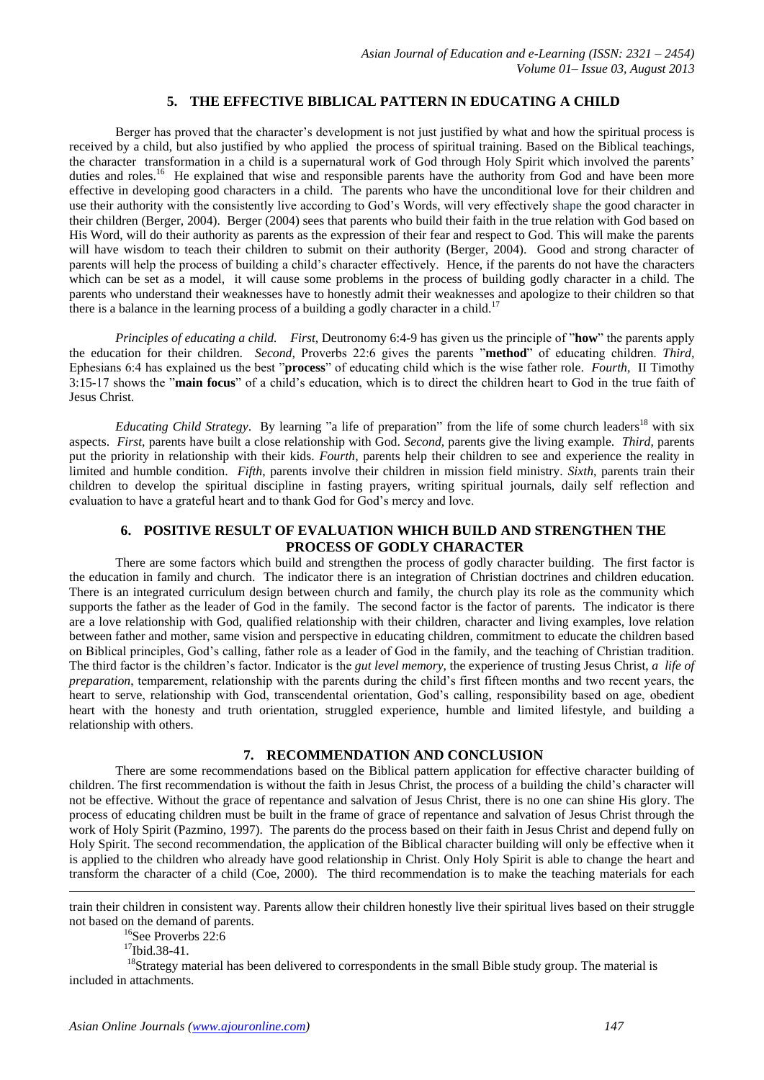## **5. THE EFFECTIVE BIBLICAL PATTERN IN EDUCATING A CHILD**

Berger has proved that the character's development is not just justified by what and how the spiritual process is received by a child, but also justified by who applied the process of spiritual training. Based on the Biblical teachings, the character transformation in a child is a supernatural work of God through Holy Spirit which involved the parents' duties and roles.<sup>16</sup> He explained that wise and responsible parents have the authority from God and have been more effective in developing good characters in a child. The parents who have the unconditional love for their children and use their authority with the consistently live according to God"s Words, will very effectively shape the good character in their children (Berger, 2004). Berger (2004) sees that parents who build their faith in the true relation with God based on His Word, will do their authority as parents as the expression of their fear and respect to God. This will make the parents will have wisdom to teach their children to submit on their authority (Berger, 2004). Good and strong character of parents will help the process of building a child"s character effectively. Hence, if the parents do not have the characters which can be set as a model, it will cause some problems in the process of building godly character in a child. The parents who understand their weaknesses have to honestly admit their weaknesses and apologize to their children so that there is a balance in the learning process of a building a godly character in a child.<sup>17</sup>

*Principles of educating a child. First*, Deutronomy 6:4-9 has given us the principle of "**how**" the parents apply the education for their children. *Second,* Proverbs 22:6 gives the parents "**method**" of educating children. *Third,*  Ephesians 6:4 has explained us the best "**process**" of educating child which is the wise father role. *Fourth,* II Timothy 3:15-17 shows the "**main focus**" of a child"s education, which is to direct the children heart to God in the true faith of Jesus Christ.

*Educating Child Strategy*. By learning "a life of preparation" from the life of some church leaders<sup>18</sup> with six aspects. *First*, parents have built a close relationship with God. *Second,* parents give the living example. *Third*, parents put the priority in relationship with their kids. *Fourth*, parents help their children to see and experience the reality in limited and humble condition. *Fifth*, parents involve their children in mission field ministry. *Sixth*, parents train their children to develop the spiritual discipline in fasting prayers, writing spiritual journals, daily self reflection and evaluation to have a grateful heart and to thank God for God"s mercy and love.

## **6. POSITIVE RESULT OF EVALUATION WHICH BUILD AND STRENGTHEN THE PROCESS OF GODLY CHARACTER**

There are some factors which build and strengthen the process of godly character building. The first factor is the education in family and church. The indicator there is an integration of Christian doctrines and children education. There is an integrated curriculum design between church and family, the church play its role as the community which supports the father as the leader of God in the family. The second factor is the factor of parents. The indicator is there are a love relationship with God, qualified relationship with their children, character and living examples, love relation between father and mother, same vision and perspective in educating children, commitment to educate the children based on Biblical principles, God"s calling, father role as a leader of God in the family, and the teaching of Christian tradition. The third factor is the children"s factor. Indicator is the *gut level memory,* the experience of trusting Jesus Christ, *a life of preparation*, temparement, relationship with the parents during the child's first fifteen months and two recent years, the heart to serve, relationship with God, transcendental orientation, God"s calling, responsibility based on age, obedient heart with the honesty and truth orientation, struggled experience, humble and limited lifestyle, and building a relationship with others.

#### **7. RECOMMENDATION AND CONCLUSION**

There are some recommendations based on the Biblical pattern application for effective character building of children. The first recommendation is without the faith in Jesus Christ, the process of a building the child"s character will not be effective. Without the grace of repentance and salvation of Jesus Christ, there is no one can shine His glory. The process of educating children must be built in the frame of grace of repentance and salvation of Jesus Christ through the work of Holy Spirit (Pazmino, 1997). The parents do the process based on their faith in Jesus Christ and depend fully on Holy Spirit. The second recommendation, the application of the Biblical character building will only be effective when it is applied to the children who already have good relationship in Christ. Only Holy Spirit is able to change the heart and transform the character of a child (Coe, 2000). The third recommendation is to make the teaching materials for each

train their children in consistent way. Parents allow their children honestly live their spiritual lives based on their struggle not based on the demand of parents.

<sup>16</sup>See Proverbs 22:6

 $^{17}$ Ibid.38-41.

1

<sup>18</sup>Strategy material has been delivered to correspondents in the small Bible study group. The material is included in attachments.